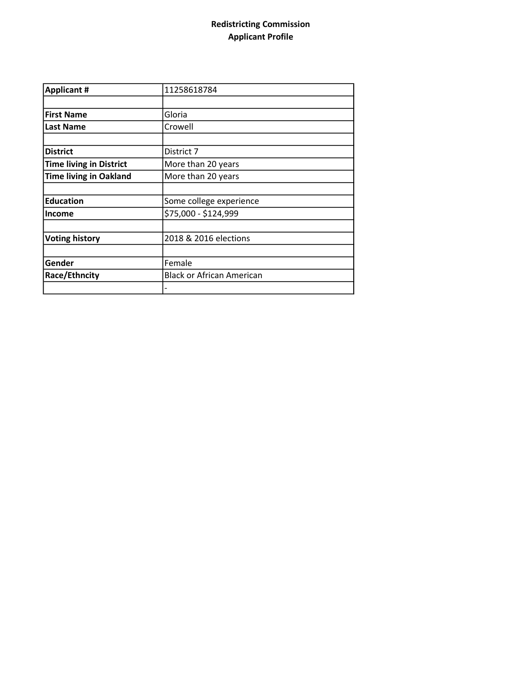## Redistricting Commission Applicant Profile

| <b>Applicant #</b>             | 11258618784               |  |
|--------------------------------|---------------------------|--|
|                                |                           |  |
| <b>First Name</b>              | Gloria                    |  |
| <b>Last Name</b>               | Crowell                   |  |
|                                |                           |  |
| <b>District</b>                | District 7                |  |
| <b>Time living in District</b> | More than 20 years        |  |
| <b>Time living in Oakland</b>  | More than 20 years        |  |
|                                |                           |  |
| <b>Education</b>               | Some college experience   |  |
| <b>Income</b>                  | \$75,000 - \$124,999      |  |
|                                |                           |  |
| <b>Voting history</b>          | 2018 & 2016 elections     |  |
|                                |                           |  |
| Gender                         | Female                    |  |
| Race/Ethncity                  | Black or African American |  |
|                                |                           |  |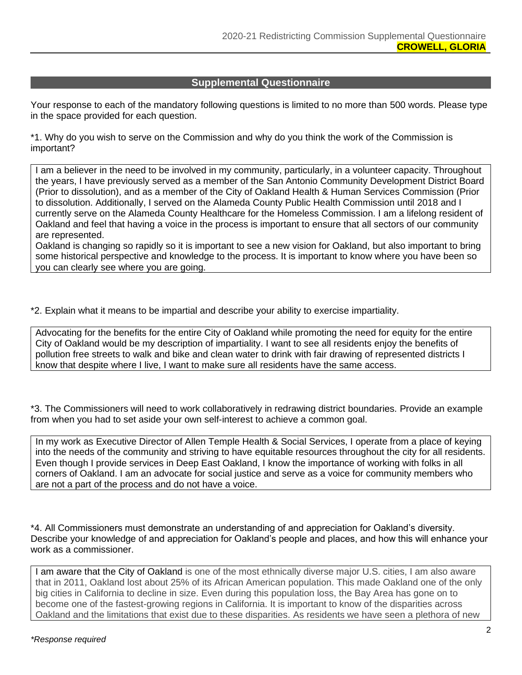## **Supplemental Questionnaire**

Your response to each of the mandatory following questions is limited to no more than 500 words. Please type in the space provided for each question.

\*1. Why do you wish to serve on the Commission and why do you think the work of the Commission is important?

I am a believer in the need to be involved in my community, particularly, in a volunteer capacity. Throughout the years, I have previously served as a member of the San Antonio Community Development District Board (Prior to dissolution), and as a member of the City of Oakland Health & Human Services Commission (Prior to dissolution. Additionally, I served on the Alameda County Public Health Commission until 2018 and I currently serve on the Alameda County Healthcare for the Homeless Commission. I am a lifelong resident of Oakland and feel that having a voice in the process is important to ensure that all sectors of our community are represented.

Oakland is changing so rapidly so it is important to see a new vision for Oakland, but also important to bring some historical perspective and knowledge to the process. It is important to know where you have been so you can clearly see where you are going.

\*2. Explain what it means to be impartial and describe your ability to exercise impartiality.

Advocating for the benefits for the entire City of Oakland while promoting the need for equity for the entire City of Oakland would be my description of impartiality. I want to see all residents enjoy the benefits of pollution free streets to walk and bike and clean water to drink with fair drawing of represented districts I know that despite where I live, I want to make sure all residents have the same access.

\*3. The Commissioners will need to work collaboratively in redrawing district boundaries. Provide an example from when you had to set aside your own self-interest to achieve a common goal.

In my work as Executive Director of Allen Temple Health & Social Services, I operate from a place of keying into the needs of the community and striving to have equitable resources throughout the city for all residents. Even though I provide services in Deep East Oakland, I know the importance of working with folks in all corners of Oakland. I am an advocate for social justice and serve as a voice for community members who are not a part of the process and do not have a voice.

\*4. All Commissioners must demonstrate an understanding of and appreciation for Oakland's diversity. Describe your knowledge of and appreciation for Oakland's people and places, and how this will enhance your work as a commissioner.

I am aware that the City of Oakland is one of the most ethnically diverse major U.S. cities, I am also aware that in 2011, Oakland lost about 25% of its African American population. This made Oakland one of the only big cities in California to decline in size. Even during this population loss, the Bay Area has gone on to become one of the fastest-growing regions in California. It is important to know of the disparities across Oakland and the limitations that exist due to these disparities. As residents we have seen a plethora of new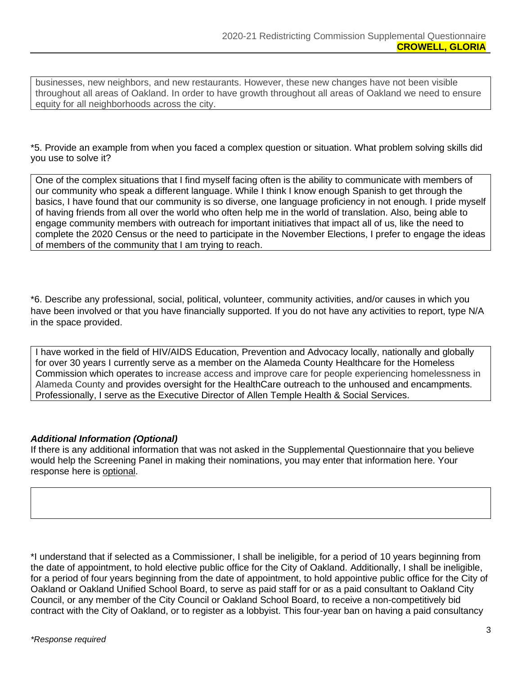businesses, new neighbors, and new restaurants. However, these new changes have not been visible throughout all areas of Oakland. In order to have growth throughout all areas of Oakland we need to ensure equity for all neighborhoods across the city.

\*5. Provide an example from when you faced a complex question or situation. What problem solving skills did you use to solve it?

One of the complex situations that I find myself facing often is the ability to communicate with members of our community who speak a different language. While I think I know enough Spanish to get through the basics, I have found that our community is so diverse, one language proficiency in not enough. I pride myself of having friends from all over the world who often help me in the world of translation. Also, being able to engage community members with outreach for important initiatives that impact all of us, like the need to complete the 2020 Census or the need to participate in the November Elections, I prefer to engage the ideas of members of the community that I am trying to reach.

\*6. Describe any professional, social, political, volunteer, community activities, and/or causes in which you have been involved or that you have financially supported. If you do not have any activities to report, type N/A in the space provided.

I have worked in the field of HIV/AIDS Education, Prevention and Advocacy locally, nationally and globally for over 30 years I currently serve as a member on the Alameda County Healthcare for the Homeless Commission which operates to increase access and improve care for people experiencing homelessness in Alameda County and provides oversight for the HealthCare outreach to the unhoused and encampments. Professionally, I serve as the Executive Director of Allen Temple Health & Social Services.

## *Additional Information (Optional)*

If there is any additional information that was not asked in the Supplemental Questionnaire that you believe would help the Screening Panel in making their nominations, you may enter that information here. Your response here is optional.

\*I understand that if selected as a Commissioner, I shall be ineligible, for a period of 10 years beginning from the date of appointment, to hold elective public office for the City of Oakland. Additionally, I shall be ineligible, for a period of four years beginning from the date of appointment, to hold appointive public office for the City of Oakland or Oakland Unified School Board, to serve as paid staff for or as a paid consultant to Oakland City Council, or any member of the City Council or Oakland School Board, to receive a non-competitively bid contract with the City of Oakland, or to register as a lobbyist. This four-year ban on having a paid consultancy